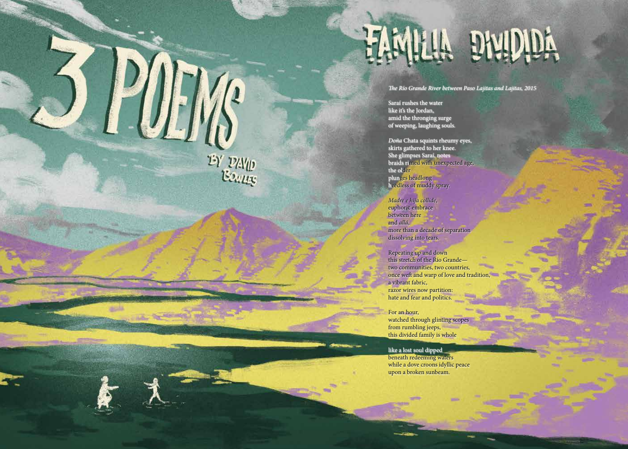## HAMILLA DNUDIA

T*e Río Grande River between Paso Lajitas and Lajitas, 2015*

Saraí rushes the water like it's the Jordan, amid the thronging surge of weeping, laughing souls.

*Doña* Chata squints rheumy eyes, skirts gathered to her knee. She glimpses Saraí, notes braids rimed with unexpected age, the older plunges headlong heedless of muddy spray.

*Madre e hija collide*, euphoric embrace between here and *allá*, more than a decade of separation dissolving into tears.

Repeating up and down this stretch of the Río Grande two communities, two countries, once weft and warp of love and tradition, a vibrant fabric, razor wires now partition: hate and fear and politics.

For an hour, watched through glinting scopes from rumbling jeeps, this divided family is whole

like a lost soul dipped beneath redeeming waters while a dove croons idyllic peace upon a broken sunbeam.

14 15

 $\frac{D}{2}$   $\frac{D}{2}$